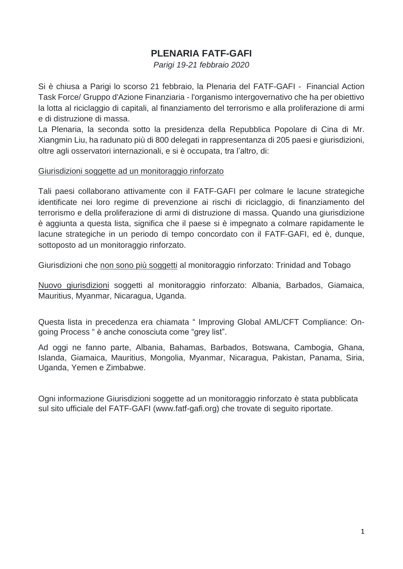## **PLENARIA FATF-GAFI**

*Parigi 19-21 febbraio 2020*

Si è chiusa a Parigi lo scorso 21 febbraio, la Plenaria del FATF-GAFI - Financial Action Task Force/ Gruppo d'Azione Finanziaria - l'organismo intergovernativo che ha per obiettivo la lotta al riciclaggio di capitali, al finanziamento del terrorismo e alla proliferazione di armi e di distruzione di massa.

La Plenaria, la seconda sotto la presidenza della Repubblica Popolare di Cina di Mr. Xiangmin Liu, ha radunato più di 800 delegati in rappresentanza di 205 paesi e giurisdizioni, oltre agli osservatori internazionali, e si è occupata, tra l'altro, di:

### Giurisdizioni soggette ad un monitoraggio rinforzato

Tali paesi collaborano attivamente con il FATF-GAFI per colmare le lacune strategiche identificate nei loro regime di prevenzione ai rischi di riciclaggio, di finanziamento del terrorismo e della proliferazione di armi di distruzione di massa. Quando una giurisdizione è aggiunta a questa lista, significa che il paese si è impegnato a colmare rapidamente le lacune strategiche in un periodo di tempo concordato con il FATF-GAFI, ed è, dunque, sottoposto ad un monitoraggio rinforzato.

Giurisdizioni che non sono più soggetti al monitoraggio rinforzato: Trinidad and Tobago

Nuovo giurisdizioni soggetti al monitoraggio rinforzato: Albania, Barbados, Giamaica, Mauritius, Myanmar, Nicaragua, Uganda.

Questa lista in precedenza era chiamata " Improving Global AML/CFT Compliance: Ongoing Process " è anche conosciuta come "grey list".

Ad oggi ne fanno parte, Albania, Bahamas, Barbados, Botswana, Cambogia, Ghana, Islanda, Giamaica, Mauritius, Mongolia, Myanmar, Nicaragua, Pakistan, Panama, Siria, Uganda, Yemen e Zimbabwe.

Ogni informazione Giurisdizioni soggette ad un monitoraggio rinforzato è stata pubblicata sul sito ufficiale del FATF-GAFI (www.fatf-gafi.org) che trovate di seguito riportate.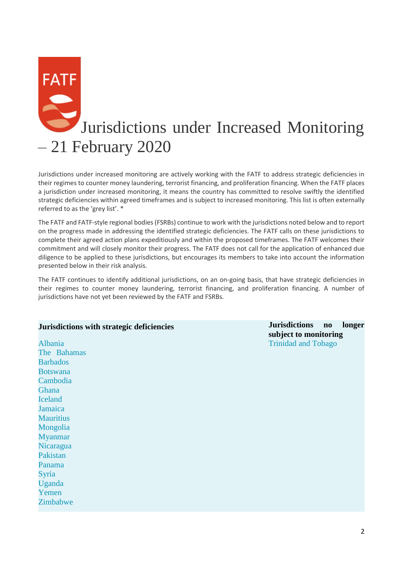# **FATF** Jurisdictions under Increased Monitoring – 21 February 2020

Jurisdictions under increased monitoring are actively working with the FATF to address strategic deficiencies in their regimes to counter money laundering, terrorist financing, and proliferation financing. When the FATF places a jurisdiction under increased monitoring, it means the country has committed to resolve swiftly the identified strategic deficiencies within agreed timeframes and is subject to increased monitoring. This list is often externally referred to as the 'grey list'. \*

The FATF and FATF-style regional bodies (FSRBs) continue to work with the jurisdictions noted below and to report on the progress made in addressing the identified strategic deficiencies. The FATF calls on these jurisdictions to complete their agreed action plans expeditiously and within the proposed timeframes. The FATF welcomes their commitment and will closely monitor their progress. The FATF does not call for the application of enhanced due diligence to be applied to these jurisdictions, but encourages its members to take into account the information presented below in their risk analysis.

The FATF continues to identify additional jurisdictions, on an on-going basis, that have strategic deficiencies in their regimes to counter money laundering, terrorist financing, and proliferation financing. A number of jurisdictions have not yet been reviewed by the FATF and FSRBs.

### **Jurisdictions with strategic deficiencies Jurisdictions no longer**

[Albania](http://www.fatf-gafi.org/publications/high-risk-and-other-monitored-jurisdictions/documents/increased-monitoring-february-2020.html#albania) [The Bahamas](http://www.fatf-gafi.org/publications/high-risk-and-other-monitored-jurisdictions/documents/increased-monitoring-february-2020.html#bahamas) **[Barbados](http://www.fatf-gafi.org/publications/high-risk-and-other-monitored-jurisdictions/documents/increased-monitoring-february-2020.html#barbados)** [Botswana](http://www.fatf-gafi.org/publications/high-risk-and-other-monitored-jurisdictions/documents/increased-monitoring-february-2020.html#botswana) [Cambodia](http://www.fatf-gafi.org/publications/high-risk-and-other-monitored-jurisdictions/documents/increased-monitoring-february-2020.html#cambodia) [Ghana](http://www.fatf-gafi.org/publications/high-risk-and-other-monitored-jurisdictions/documents/increased-monitoring-february-2020.html#ghana) [Iceland](http://www.fatf-gafi.org/publications/high-risk-and-other-monitored-jurisdictions/documents/increased-monitoring-february-2020.html#iceland) [Jamaica](http://www.fatf-gafi.org/publications/high-risk-and-other-monitored-jurisdictions/documents/increased-monitoring-february-2020.html#jamaica) **[Mauritius](http://www.fatf-gafi.org/publications/high-risk-and-other-monitored-jurisdictions/documents/increased-monitoring-february-2020.html#mauritius)** [Mongolia](http://www.fatf-gafi.org/publications/high-risk-and-other-monitored-jurisdictions/documents/increased-monitoring-february-2020.html#mongolia) [Myanmar](http://www.fatf-gafi.org/publications/high-risk-and-other-monitored-jurisdictions/documents/increased-monitoring-february-2020.html#myanmar) [Nicaragua](http://www.fatf-gafi.org/publications/high-risk-and-other-monitored-jurisdictions/documents/increased-monitoring-february-2020.html#nicaragua) [Pakistan](http://www.fatf-gafi.org/publications/high-risk-and-other-monitored-jurisdictions/documents/increased-monitoring-february-2020.html#pakistan) [Panama](http://www.fatf-gafi.org/publications/high-risk-and-other-monitored-jurisdictions/documents/increased-monitoring-february-2020.html#panama) [Syria](http://www.fatf-gafi.org/publications/high-risk-and-other-monitored-jurisdictions/documents/increased-monitoring-february-2020.html#syria) [Uganda](http://www.fatf-gafi.org/publications/high-risk-and-other-monitored-jurisdictions/documents/increased-monitoring-february-2020.html#uganda) [Yemen](http://www.fatf-gafi.org/publications/high-risk-and-other-monitored-jurisdictions/documents/increased-monitoring-february-2020.html#yemen) [Zimbabwe](http://www.fatf-gafi.org/publications/high-risk-and-other-monitored-jurisdictions/documents/increased-monitoring-february-2020.html#zimbabwe)

**subject to monitoring** [Trinidad and Tobago](http://www.fatf-gafi.org/publications/high-risk-and-other-monitored-jurisdictions/documents/increased-monitoring-february-2020.html#trinidadandtobago)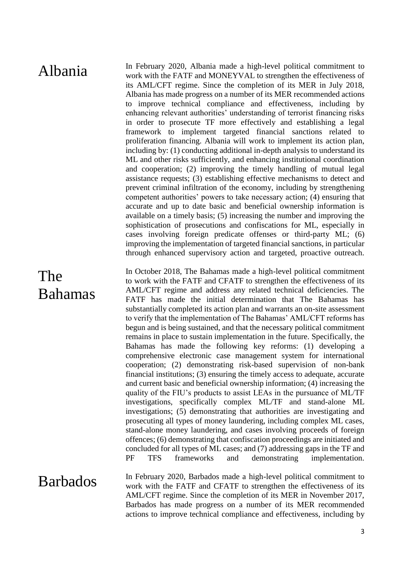Albania In February 2020, Albania made a high-level political commitment to work with the FATF and MONEYVAL to strengthen the effectiveness of its AML/CFT regime. Since the completion of its MER in July 2018, Albania has made progress on a number of its MER recommended actions to improve technical compliance and effectiveness, including by enhancing relevant authorities' understanding of terrorist financing risks in order to prosecute TF more effectively and establishing a legal framework to implement targeted financial sanctions related to proliferation financing. Albania will work to implement its action plan, including by: (1) conducting additional in-depth analysis to understand its ML and other risks sufficiently, and enhancing institutional coordination and cooperation; (2) improving the timely handling of mutual legal assistance requests; (3) establishing effective mechanisms to detect and prevent criminal infiltration of the economy, including by strengthening competent authorities' powers to take necessary action; (4) ensuring that accurate and up to date basic and beneficial ownership information is available on a timely basis; (5) increasing the number and improving the sophistication of prosecutions and confiscations for ML, especially in cases involving foreign predicate offenses or third-party ML; (6) improving the implementation of targeted financial sanctions, in particular through enhanced supervisory action and targeted, proactive outreach.

# The Bahamas

In October 2018, The Bahamas made a high-level political commitment to work with the FATF and CFATF to strengthen the effectiveness of its AML/CFT regime and address any related technical deficiencies. The FATF has made the initial determination that The Bahamas has substantially completed its action plan and warrants an on-site assessment to verify that the implementation of The Bahamas' AML/CFT reforms has begun and is being sustained, and that the necessary political commitment remains in place to sustain implementation in the future. Specifically, the Bahamas has made the following key reforms: (1) developing a comprehensive electronic case management system for international cooperation; (2) demonstrating risk-based supervision of non-bank financial institutions; (3) ensuring the timely access to adequate, accurate and current basic and beneficial ownership information; (4) increasing the quality of the FIU's products to assist LEAs in the pursuance of ML/TF investigations, specifically complex ML/TF and stand-alone ML investigations; (5) demonstrating that authorities are investigating and prosecuting all types of money laundering, including complex ML cases, stand-alone money laundering, and cases involving proceeds of foreign offences; (6) demonstrating that confiscation proceedings are initiated and concluded for all types of ML cases; and (7) addressing gaps in the TF and PF TFS frameworks and demonstrating implementation.

**Barbados** In February 2020, Barbados made a high-level political commitment to work with the FATF and CFATF to strengthen the effectiveness of its AML/CFT regime. Since the completion of its MER in November 2017, Barbados has made progress on a number of its MER recommended actions to improve technical compliance and effectiveness, including by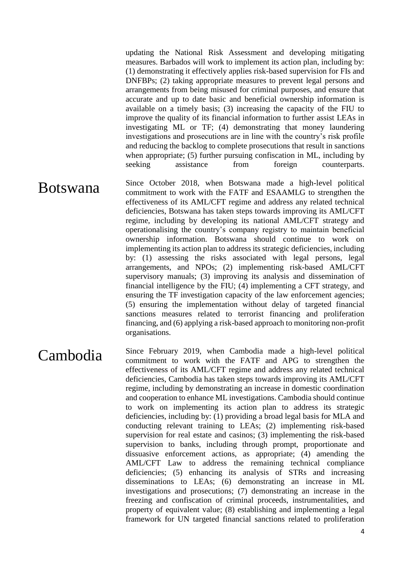updating the National Risk Assessment and developing mitigating measures. Barbados will work to implement its action plan, including by: (1) demonstrating it effectively applies risk-based supervision for FIs and DNFBPs; (2) taking appropriate measures to prevent legal persons and arrangements from being misused for criminal purposes, and ensure that accurate and up to date basic and beneficial ownership information is available on a timely basis; (3) increasing the capacity of the FIU to improve the quality of its financial information to further assist LEAs in investigating ML or TF; (4) demonstrating that money laundering investigations and prosecutions are in line with the country's risk profile and reducing the backlog to complete prosecutions that result in sanctions when appropriate; (5) further pursuing confiscation in ML, including by seeking assistance from foreign counterparts.

**Botswana** Since October 2018, when Botswana made a high-level political commitment to work with the FATF and ESAAMLG to strengthen the effectiveness of its AML/CFT regime and address any related technical deficiencies, Botswana has taken steps towards improving its AML/CFT regime, including by developing its national AML/CFT strategy and operationalising the country's company registry to maintain beneficial ownership information. Botswana should continue to work on implementing its action plan to address its strategic deficiencies, including by: (1) assessing the risks associated with legal persons, legal arrangements, and NPOs; (2) implementing risk-based AML/CFT supervisory manuals; (3) improving its analysis and dissemination of financial intelligence by the FIU; (4) implementing a CFT strategy, and ensuring the TF investigation capacity of the law enforcement agencies; (5) ensuring the implementation without delay of targeted financial sanctions measures related to terrorist financing and proliferation financing, and (6) applying a risk-based approach to monitoring non-profit organisations.

Cambodia Since February 2019, when Cambodia made a high-level political commitment to work with the FATF and APG to strengthen the effectiveness of its AML/CFT regime and address any related technical deficiencies, Cambodia has taken steps towards improving its AML/CFT regime, including by demonstrating an increase in domestic coordination and cooperation to enhance ML investigations. Cambodia should continue to work on implementing its action plan to address its strategic deficiencies, including by: (1) providing a broad legal basis for MLA and conducting relevant training to LEAs; (2) implementing risk-based supervision for real estate and casinos; (3) implementing the risk-based supervision to banks, including through prompt, proportionate and dissuasive enforcement actions, as appropriate; (4) amending the AML/CFT Law to address the remaining technical compliance deficiencies; (5) enhancing its analysis of STRs and increasing disseminations to LEAs; (6) demonstrating an increase in ML investigations and prosecutions; (7) demonstrating an increase in the freezing and confiscation of criminal proceeds, instrumentalities, and property of equivalent value; (8) establishing and implementing a legal framework for UN targeted financial sanctions related to proliferation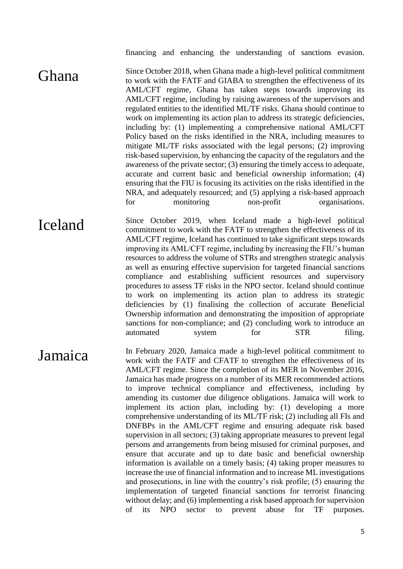financing and enhancing the understanding of sanctions evasion.

Ghana Since October 2018, when Ghana made a high-level political commitment to work with the FATF and GIABA to strengthen the effectiveness of its AML/CFT regime, Ghana has taken steps towards improving its AML/CFT regime, including by raising awareness of the supervisors and regulated entities to the identified ML/TF risks. Ghana should continue to work on implementing its action plan to address its strategic deficiencies, including by: (1) implementing a comprehensive national AML/CFT Policy based on the risks identified in the NRA, including measures to mitigate ML/TF risks associated with the legal persons; (2) improving risk-based supervision, by enhancing the capacity of the regulators and the awareness of the private sector; (3) ensuring the timely access to adequate, accurate and current basic and beneficial ownership information; (4) ensuring that the FIU is focusing its activities on the risks identified in the NRA, and adequately resourced; and (5) applying a risk-based approach for monitoring non-profit organisations.

Iceland Since October 2019, when Iceland made a high-level political commitment to work with the FATF to strengthen the effectiveness of its AML/CFT regime, Iceland has continued to take significant steps towards improving its AML/CFT regime, including by increasing the FIU's human resources to address the volume of STRs and strengthen strategic analysis as well as ensuring effective supervision for targeted financial sanctions compliance and establishing sufficient resources and supervisory procedures to assess TF risks in the NPO sector. Iceland should continue to work on implementing its action plan to address its strategic deficiencies by (1) finalising the collection of accurate Beneficial Ownership information and demonstrating the imposition of appropriate sanctions for non-compliance; and (2) concluding work to introduce an automated system for STR filing.

**Jamaica** In February 2020, Jamaica made a high-level political commitment to work with the FATF and CFATF to strengthen the effectiveness of its AML/CFT regime. Since the completion of its MER in November 2016, Jamaica has made progress on a number of its MER recommended actions to improve technical compliance and effectiveness, including by amending its customer due diligence obligations. Jamaica will work to implement its action plan, including by: (1) developing a more comprehensive understanding of its ML/TF risk; (2) including all FIs and DNFBPs in the AML/CFT regime and ensuring adequate risk based supervision in all sectors; (3) taking appropriate measures to prevent legal persons and arrangements from being misused for criminal purposes, and ensure that accurate and up to date basic and beneficial ownership information is available on a timely basis; (4) taking proper measures to increase the use of financial information and to increase ML investigations and prosecutions, in line with the country's risk profile; (5) ensuring the implementation of targeted financial sanctions for terrorist financing without delay; and (6) implementing a risk based approach for supervision of its NPO sector to prevent abuse for TF purposes.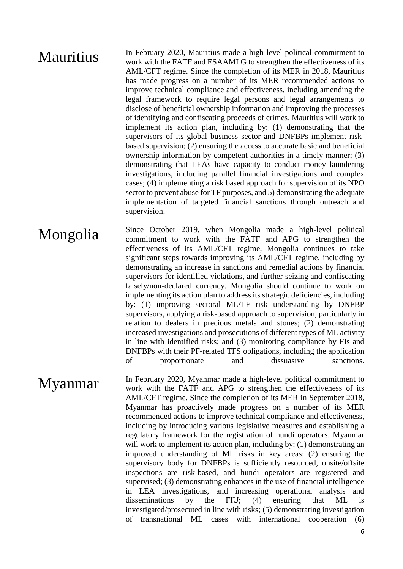**Mauritius** In February 2020, Mauritius made a high-level political commitment to work with the FATF and ESAAMLG to strengthen the effectiveness of its AML/CFT regime. Since the completion of its MER in 2018, Mauritius has made progress on a number of its MER recommended actions to improve technical compliance and effectiveness, including amending the legal framework to require legal persons and legal arrangements to disclose of beneficial ownership information and improving the processes of identifying and confiscating proceeds of crimes. Mauritius will work to implement its action plan, including by: (1) demonstrating that the supervisors of its global business sector and DNFBPs implement riskbased supervision; (2) ensuring the access to accurate basic and beneficial ownership information by competent authorities in a timely manner; (3) demonstrating that LEAs have capacity to conduct money laundering investigations, including parallel financial investigations and complex cases; (4) implementing a risk based approach for supervision of its NPO sector to prevent abuse for TF purposes, and 5) demonstrating the adequate implementation of targeted financial sanctions through outreach and supervision.

### Mongolia Since October 2019, when Mongolia made a high-level political commitment to work with the FATF and APG to strengthen the effectiveness of its AML/CFT regime, Mongolia continues to take significant steps towards improving its AML/CFT regime, including by demonstrating an increase in sanctions and remedial actions by financial supervisors for identified violations, and further seizing and confiscating falsely/non-declared currency. Mongolia should continue to work on implementing its action plan to address its strategic deficiencies, including by: (1) improving sectoral ML/TF risk understanding by DNFBP supervisors, applying a risk-based approach to supervision, particularly in relation to dealers in precious metals and stones; (2) demonstrating increased investigations and prosecutions of different types of ML activity in line with identified risks; and (3) monitoring compliance by FIs and DNFBPs with their PF-related TFS obligations, including the application of proportionate and dissuasive sanctions.

**Myanmar** In February 2020, Myanmar made a high-level political commitment to work with the FATF and APG to strengthen the effectiveness of its AML/CFT regime. Since the completion of its MER in September 2018, Myanmar has proactively made progress on a number of its MER recommended actions to improve technical compliance and effectiveness, including by introducing various legislative measures and establishing a regulatory framework for the registration of hundi operators. Myanmar will work to implement its action plan, including by: (1) demonstrating an improved understanding of ML risks in key areas; (2) ensuring the supervisory body for DNFBPs is sufficiently resourced, onsite/offsite inspections are risk-based, and hundi operators are registered and supervised; (3) demonstrating enhances in the use of financial intelligence in LEA investigations, and increasing operational analysis and disseminations by the FIU; (4) ensuring that ML is investigated/prosecuted in line with risks; (5) demonstrating investigation of transnational ML cases with international cooperation (6)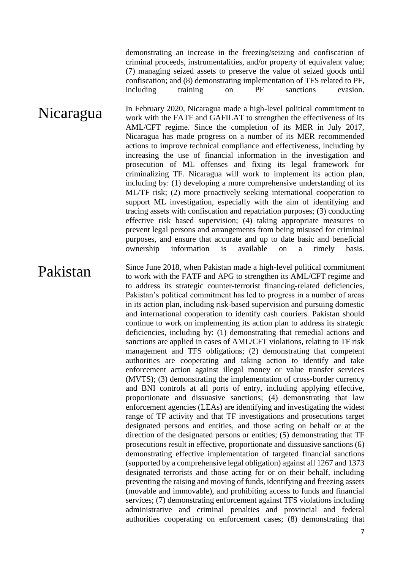demonstrating an increase in the freezing/seizing and confiscation of criminal proceeds, instrumentalities, and/or property of equivalent value; (7) managing seized assets to preserve the value of seized goods until confiscation; and (8) demonstrating implementation of TFS related to PF, including training on PF sanctions evasion.

Nicaragua In February 2020, Nicaragua made a high-level political commitment to work with the FATF and GAFILAT to strengthen the effectiveness of its AML/CFT regime. Since the completion of its MER in July 2017, Nicaragua has made progress on a number of its MER recommended actions to improve technical compliance and effectiveness, including by increasing the use of financial information in the investigation and prosecution of ML offenses and fixing its legal framework for criminalizing TF. Nicaragua will work to implement its action plan, including by: (1) developing a more comprehensive understanding of its ML/TF risk; (2) more proactively seeking international cooperation to support ML investigation, especially with the aim of identifying and tracing assets with confiscation and repatriation purposes; (3) conducting effective risk based supervision; (4) taking appropriate measures to prevent legal persons and arrangements from being misused for criminal purposes, and ensure that accurate and up to date basic and beneficial ownership information is available on a timely basis.

Pakistan Since June 2018, when Pakistan made a high-level political commitment to work with the FATF and APG to strengthen its AML/CFT regime and to address its strategic counter-terrorist financing-related deficiencies, Pakistan's political commitment has led to progress in a number of areas in its action plan, including risk-based supervision and pursuing domestic and international cooperation to identify cash couriers. Pakistan should continue to work on implementing its action plan to address its strategic deficiencies, including by: (1) demonstrating that remedial actions and sanctions are applied in cases of AML/CFT violations, relating to TF risk management and TFS obligations; (2) demonstrating that competent authorities are cooperating and taking action to identify and take enforcement action against illegal money or value transfer services (MVTS); (3) demonstrating the implementation of cross-border currency and BNI controls at all ports of entry, including applying effective, proportionate and dissuasive sanctions; (4) demonstrating that law enforcement agencies (LEAs) are identifying and investigating the widest range of TF activity and that TF investigations and prosecutions target designated persons and entities, and those acting on behalf or at the direction of the designated persons or entities; (5) demonstrating that TF prosecutions result in effective, proportionate and dissuasive sanctions (6) demonstrating effective implementation of targeted financial sanctions (supported by a comprehensive legal obligation) against all 1267 and 1373 designated terrorists and those acting for or on their behalf, including preventing the raising and moving of funds, identifying and freezing assets (movable and immovable), and prohibiting access to funds and financial services; (7) demonstrating enforcement against TFS violations including administrative and criminal penalties and provincial and federal authorities cooperating on enforcement cases; (8) demonstrating that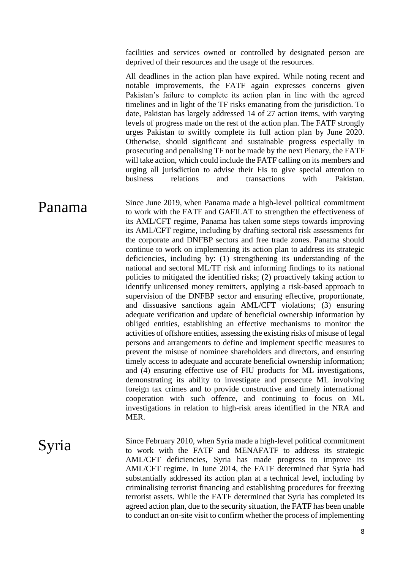facilities and services owned or controlled by designated person are deprived of their resources and the usage of the resources.

All deadlines in the action plan have expired. While noting recent and notable improvements, the FATF again expresses concerns given Pakistan's failure to complete its action plan in line with the agreed timelines and in light of the TF risks emanating from the jurisdiction. To date, Pakistan has largely addressed 14 of 27 action items, with varying levels of progress made on the rest of the action plan. The FATF strongly urges Pakistan to swiftly complete its full action plan by June 2020. Otherwise, should significant and sustainable progress especially in prosecuting and penalising TF not be made by the next Plenary, the FATF will take action, which could include the FATF calling on its members and urging all jurisdiction to advise their FIs to give special attention to business relations and transactions with Pakistan.

**Panama** Since June 2019, when Panama made a high-level political commitment to work with the FATF and GAFILAT to strengthen the effectiveness of its AML/CFT regime, Panama has taken some steps towards improving its AML/CFT regime, including by drafting sectoral risk assessments for the corporate and DNFBP sectors and free trade zones. Panama should continue to work on implementing its action plan to address its strategic deficiencies, including by: (1) strengthening its understanding of the national and sectoral ML/TF risk and informing findings to its national policies to mitigated the identified risks; (2) proactively taking action to identify unlicensed money remitters, applying a risk-based approach to supervision of the DNFBP sector and ensuring effective, proportionate, and dissuasive sanctions again AML/CFT violations; (3) ensuring adequate verification and update of beneficial ownership information by obliged entities, establishing an effective mechanisms to monitor the activities of offshore entities, assessing the existing risks of misuse of legal persons and arrangements to define and implement specific measures to prevent the misuse of nominee shareholders and directors, and ensuring timely access to adequate and accurate beneficial ownership information; and (4) ensuring effective use of FIU products for ML investigations, demonstrating its ability to investigate and prosecute ML involving foreign tax crimes and to provide constructive and timely international cooperation with such offence, and continuing to focus on ML investigations in relation to high-risk areas identified in the NRA and MER.

Syria Since February 2010, when Syria made a high-level political commitment to work with the FATF and MENAFATF to address its strategic AML/CFT deficiencies, Syria has made progress to improve its AML/CFT regime. In June 2014, the FATF determined that Syria had substantially addressed its action plan at a technical level, including by criminalising terrorist financing and establishing procedures for freezing terrorist assets. While the FATF determined that Syria has completed its agreed action plan, due to the security situation, the FATF has been unable to conduct an on-site visit to confirm whether the process of implementing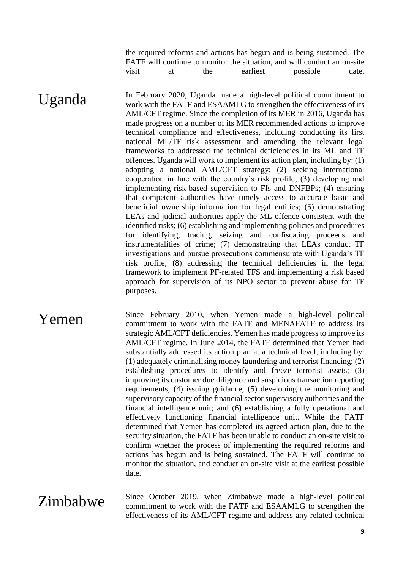the required reforms and actions has begun and is being sustained. The FATF will continue to monitor the situation, and will conduct an on-site visit at the earliest possible date.

 $\mathbf{Uganda}$  In February 2020, Uganda made a high-level political commitment to work with the FATF and ESAAMLG to strengthen the effectiveness of its work with the FATF and ESAAMLG to strengthen the effectiveness of its AML/CFT regime. Since the completion of its MER in 2016, Uganda has made progress on a number of its MER recommended actions to improve technical compliance and effectiveness, including conducting its first national ML/TF risk assessment and amending the relevant legal frameworks to addressed the technical deficiencies in its ML and TF offences. Uganda will work to implement its action plan, including by: (1) adopting a national AML/CFT strategy; (2) seeking international cooperation in line with the country's risk profile; (3) developing and implementing risk-based supervision to FIs and DNFBPs; (4) ensuring that competent authorities have timely access to accurate basic and beneficial ownership information for legal entities; (5) demonstrating LEAs and judicial authorities apply the ML offence consistent with the identified risks; (6) establishing and implementing policies and procedures for identifying, tracing, seizing and confiscating proceeds and instrumentalities of crime; (7) demonstrating that LEAs conduct TF investigations and pursue prosecutions commensurate with Uganda's TF risk profile; (8) addressing the technical deficiencies in the legal framework to implement PF-related TFS and implementing a risk based approach for supervision of its NPO sector to prevent abuse for TF purposes.

**Yemen** Since February 2010, when Yemen made a high-level political commitment to work with the FATF and MENAFATF to address its strategic AML/CFT deficiencies, Yemen has made progress to improve its AML/CFT regime. In June 2014, the FATF determined that Yemen had substantially addressed its action plan at a technical level, including by: (1) adequately criminalising money laundering and terrorist financing; (2) establishing procedures to identify and freeze terrorist assets; (3) improving its customer due diligence and suspicious transaction reporting requirements; (4) issuing guidance; (5) developing the monitoring and supervisory capacity of the financial sector supervisory authorities and the financial intelligence unit; and (6) establishing a fully operational and effectively functioning financial intelligence unit. While the FATF determined that Yemen has completed its agreed action plan, due to the security situation, the FATF has been unable to conduct an on-site visit to confirm whether the process of implementing the required reforms and actions has begun and is being sustained. The FATF will continue to monitor the situation, and conduct an on-site visit at the earliest possible date.

 $\sum$ imbabwe Since October 2019, when Zimbabwe made a high-level political commitment to work with the FATF and ESAAMLG to strengthen the effectiveness of its AML/CFT regime and address any related technical